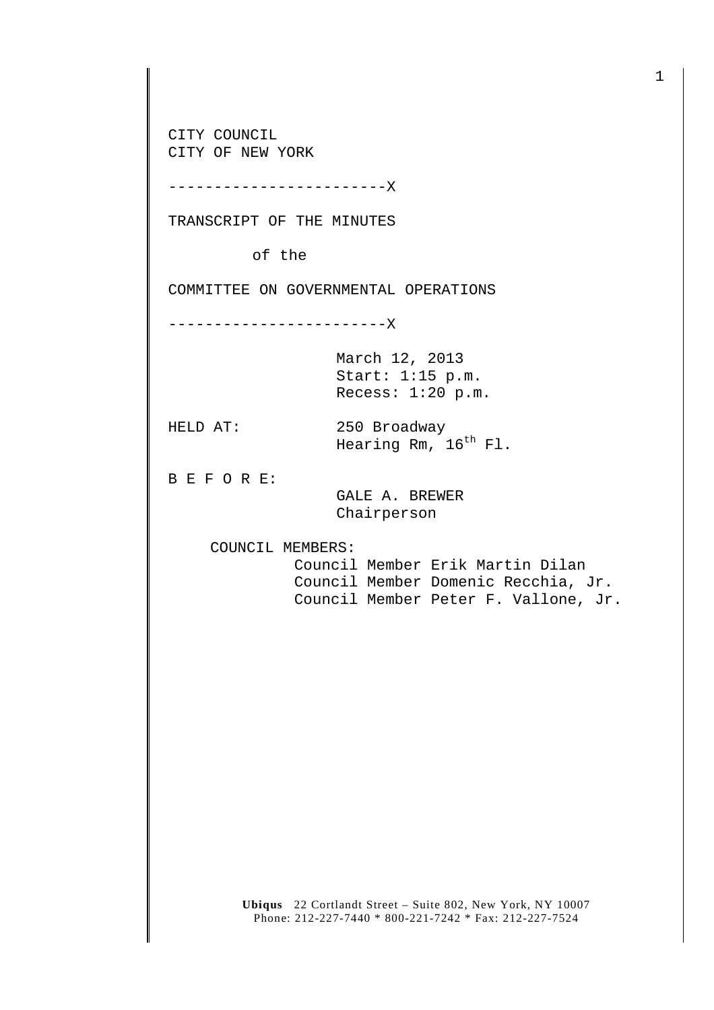CITY COUNCIL CITY OF NEW YORK

------------------------X

TRANSCRIPT OF THE MINUTES

of the

COMMITTEE ON GOVERNMENTAL OPERATIONS

------------------------X

March 12, 2013 Start: 1:15 p.m. Recess: 1:20 p.m.

HELD AT: 250 Broadway Hearing Rm, 16<sup>th</sup> Fl.

B E F O R E:

 GALE A. BREWER Chairperson

COUNCIL MEMBERS:

 Council Member Erik Martin Dilan Council Member Domenic Recchia, Jr. Council Member Peter F. Vallone, Jr.

**Ubiqus** 22 Cortlandt Street – Suite 802, New York, NY 10007 Phone: 212-227-7440 \* 800-221-7242 \* Fax: 212-227-7524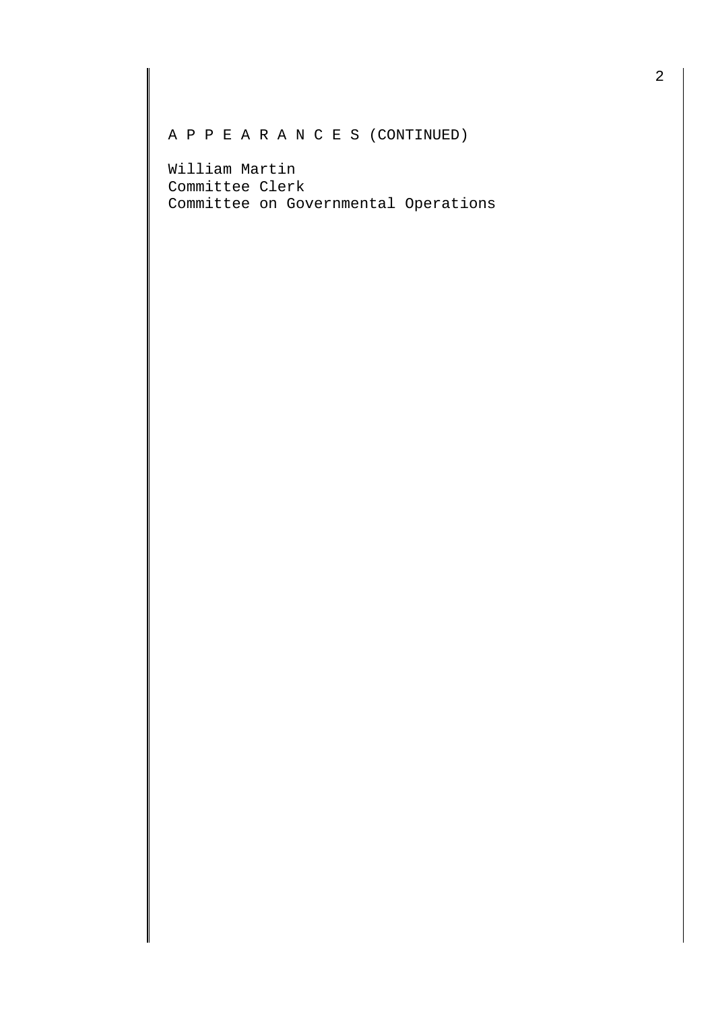A P P E A R A N C E S (CONTINUED)

William Martin Committee Clerk Committee on Governmental Operations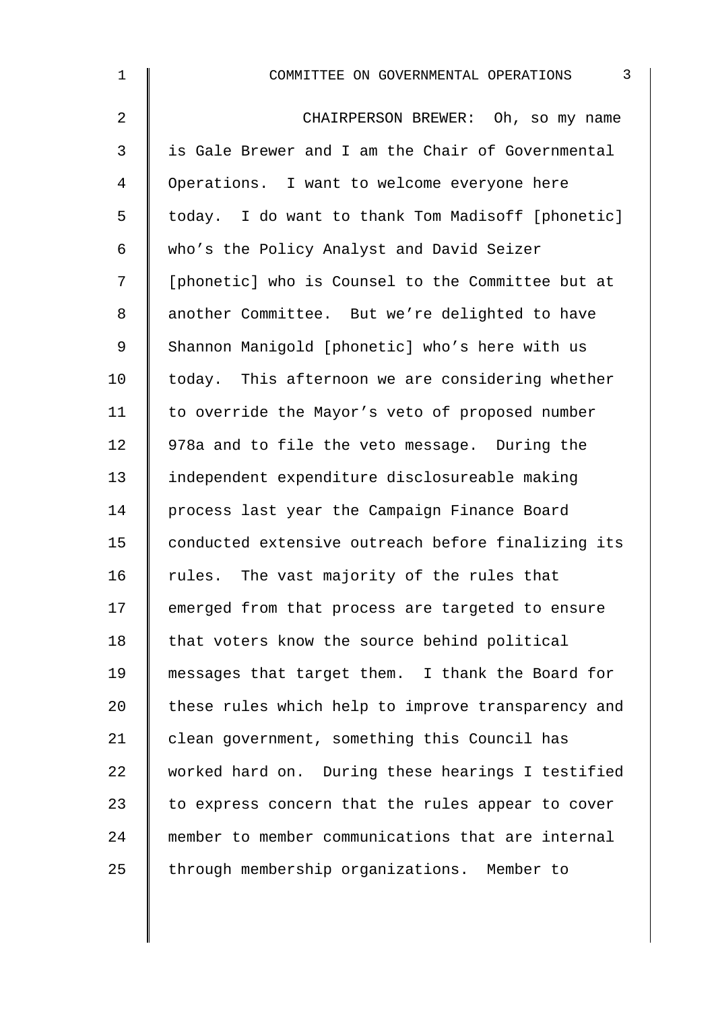| $\mathbf 1$    | $\mathbf{3}$<br>COMMITTEE ON GOVERNMENTAL OPERATIONS |
|----------------|------------------------------------------------------|
| $\overline{2}$ | CHAIRPERSON BREWER: Oh, so my name                   |
| 3              | is Gale Brewer and I am the Chair of Governmental    |
| 4              | Operations. I want to welcome everyone here          |
| 5              | today. I do want to thank Tom Madisoff [phonetic]    |
| 6              | who's the Policy Analyst and David Seizer            |
| 7              | [phonetic] who is Counsel to the Committee but at    |
| 8              | another Committee. But we're delighted to have       |
| $\mathsf 9$    | Shannon Manigold [phonetic] who's here with us       |
| 10             | today. This afternoon we are considering whether     |
| 11             | to override the Mayor's veto of proposed number      |
| 12             | 978a and to file the veto message. During the        |
| 13             | independent expenditure disclosureable making        |
| 14             | process last year the Campaign Finance Board         |
| 15             | conducted extensive outreach before finalizing its   |
| 16             | rules. The vast majority of the rules that           |
| 17             | emerged from that process are targeted to ensure     |
| 18             | that voters know the source behind political         |
| 19             | messages that target them. I thank the Board for     |
| 20             | these rules which help to improve transparency and   |
| 21             | clean government, something this Council has         |
| 22             | worked hard on. During these hearings I testified    |
| 23             | to express concern that the rules appear to cover    |
| 24             | member to member communications that are internal    |
| 25             | through membership organizations. Member to          |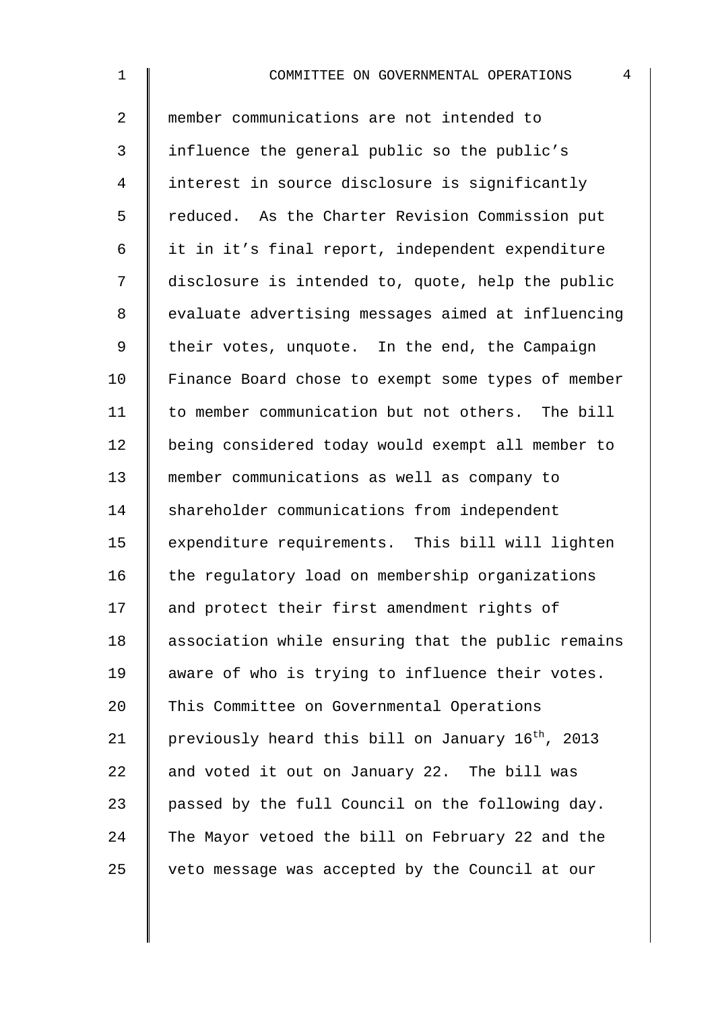2 member communications are not intended to 3 influence the general public so the public's 4 I interest in source disclosure is significantly 5 | reduced. As the Charter Revision Commission put 6 it in it's final report, independent expenditure 7 disclosure is intended to, quote, help the public 8 | evaluate advertising messages aimed at influencing 9 | their votes, unquote. In the end, the Campaign 10 | Finance Board chose to exempt some types of member 11 | to member communication but not others. The bill 12 | being considered today would exempt all member to 13 member communications as well as company to 14 Shareholder communications from independent 15 | expenditure requirements. This bill will lighten  $16$  the regulatory load on membership organizations 17 and protect their first amendment rights of 18 association while ensuring that the public remains 19 | aware of who is trying to influence their votes. 20 This Committee on Governmental Operations 21 | previously heard this bill on January  $16^{th}$ , 2013 22  $\parallel$  and voted it out on January 22. The bill was 23  $\parallel$  passed by the full Council on the following day. 24 The Mayor vetoed the bill on February 22 and the  $25$   $\parallel$  veto message was accepted by the Council at our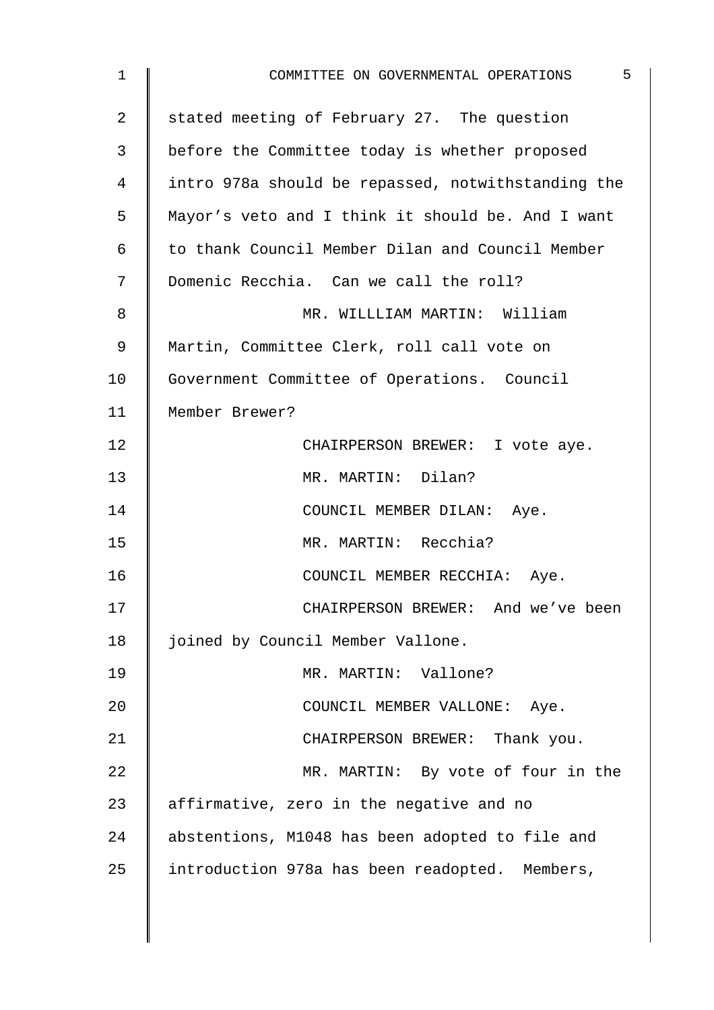| 1              | 5<br>COMMITTEE ON GOVERNMENTAL OPERATIONS          |
|----------------|----------------------------------------------------|
| 2              | stated meeting of February 27. The question        |
| 3              | before the Committee today is whether proposed     |
| $\overline{4}$ | intro 978a should be repassed, notwithstanding the |
| 5              | Mayor's veto and I think it should be. And I want  |
| 6              | to thank Council Member Dilan and Council Member   |
| 7              | Domenic Recchia. Can we call the roll?             |
| 8              | MR. WILLLIAM MARTIN: William                       |
| 9              | Martin, Committee Clerk, roll call vote on         |
| 10             | Government Committee of Operations. Council        |
| 11             | Member Brewer?                                     |
| 12             | CHAIRPERSON BREWER: I vote aye.                    |
| 13             | MR. MARTIN: Dilan?                                 |
| 14             | COUNCIL MEMBER DILAN: Aye.                         |
| 15             | MR. MARTIN: Recchia?                               |
| 16             | COUNCIL MEMBER RECCHIA: Aye.                       |
| 17             | CHAIRPERSON BREWER: And we've been                 |
| 18             | joined by Council Member Vallone.                  |
| 19             | MR. MARTIN: Vallone?                               |
| 20             | COUNCIL MEMBER VALLONE: Aye.                       |
| 21             | CHAIRPERSON BREWER: Thank you.                     |
| 22             | MR. MARTIN: By vote of four in the                 |
| 23             | affirmative, zero in the negative and no           |
| 24             | abstentions, M1048 has been adopted to file and    |
| 25             | introduction 978a has been readopted. Members,     |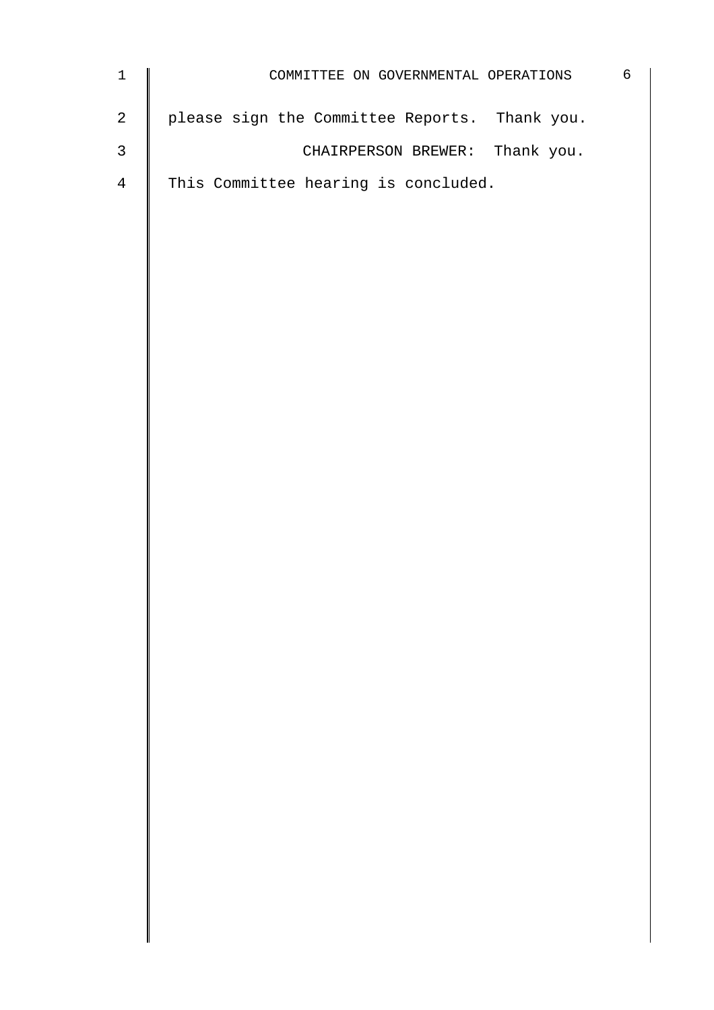| $\mathbf 1$    | COMMITTEE ON GOVERNMENTAL OPERATIONS          | 6 |
|----------------|-----------------------------------------------|---|
| $\sqrt{2}$     | please sign the Committee Reports. Thank you. |   |
| $\mathsf 3$    | CHAIRPERSON BREWER: Thank you.                |   |
| $\overline{4}$ | This Committee hearing is concluded.          |   |
|                |                                               |   |
|                |                                               |   |
|                |                                               |   |
|                |                                               |   |
|                |                                               |   |
|                |                                               |   |
|                |                                               |   |
|                |                                               |   |
|                |                                               |   |
|                |                                               |   |
|                |                                               |   |
|                |                                               |   |
|                |                                               |   |
|                |                                               |   |
|                |                                               |   |
|                |                                               |   |
|                |                                               |   |
|                |                                               |   |
|                |                                               |   |
|                |                                               |   |
|                |                                               |   |
|                |                                               |   |